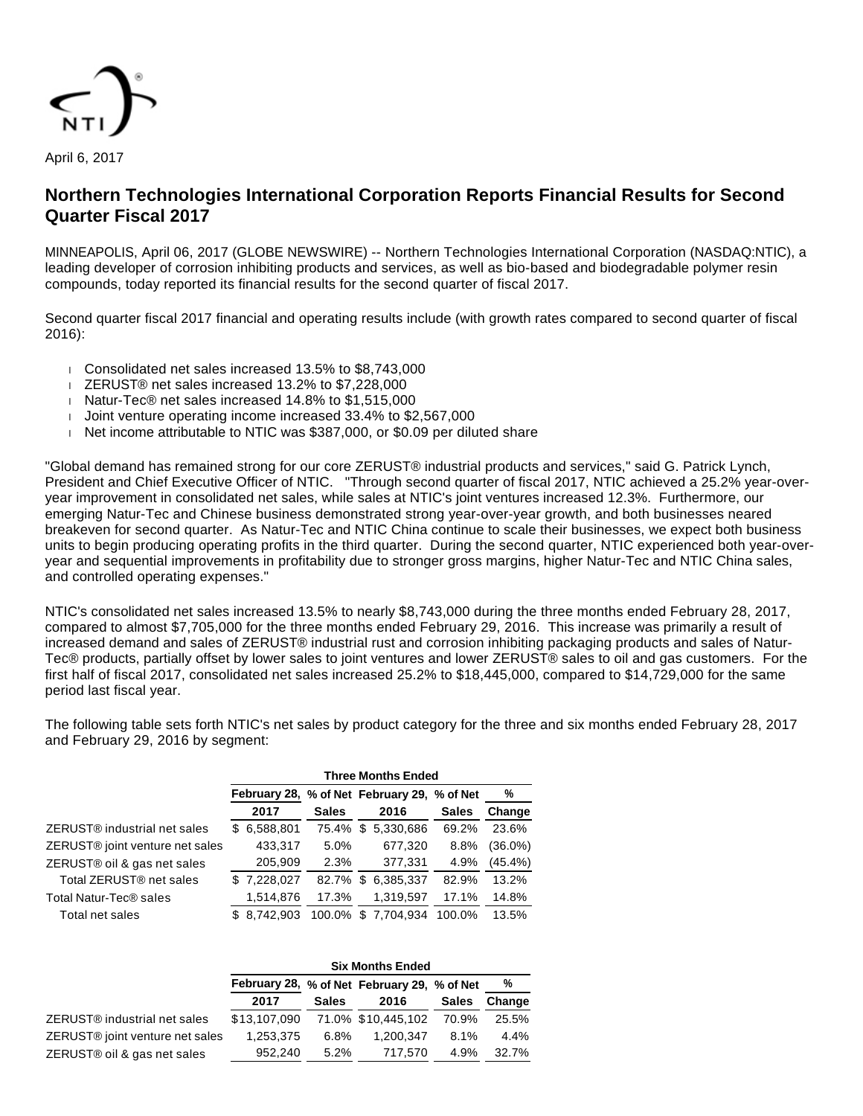

April 6, 2017

# **Northern Technologies International Corporation Reports Financial Results for Second Quarter Fiscal 2017**

MINNEAPOLIS, April 06, 2017 (GLOBE NEWSWIRE) -- Northern Technologies International Corporation (NASDAQ:NTIC), a leading developer of corrosion inhibiting products and services, as well as bio-based and biodegradable polymer resin compounds, today reported its financial results for the second quarter of fiscal 2017.

Second quarter fiscal 2017 financial and operating results include (with growth rates compared to second quarter of fiscal 2016):

- Consolidated net sales increased 13.5% to \$8,743,000
- ZERUST® net sales increased 13.2% to \$7,228,000
- Natur-Tec® net sales increased 14.8% to \$1,515,000
- Joint venture operating income increased 33.4% to \$2,567,000
- $\parallel$  Net income attributable to NTIC was \$387,000, or \$0.09 per diluted share

"Global demand has remained strong for our core ZERUST® industrial products and services," said G. Patrick Lynch, President and Chief Executive Officer of NTIC. "Through second quarter of fiscal 2017, NTIC achieved a 25.2% year-overyear improvement in consolidated net sales, while sales at NTIC's joint ventures increased 12.3%. Furthermore, our emerging Natur-Tec and Chinese business demonstrated strong year-over-year growth, and both businesses neared breakeven for second quarter. As Natur-Tec and NTIC China continue to scale their businesses, we expect both business units to begin producing operating profits in the third quarter. During the second quarter, NTIC experienced both year-overyear and sequential improvements in profitability due to stronger gross margins, higher Natur-Tec and NTIC China sales, and controlled operating expenses."

NTIC's consolidated net sales increased 13.5% to nearly \$8,743,000 during the three months ended February 28, 2017, compared to almost \$7,705,000 for the three months ended February 29, 2016. This increase was primarily a result of increased demand and sales of ZERUST® industrial rust and corrosion inhibiting packaging products and sales of Natur-Tec® products, partially offset by lower sales to joint ventures and lower ZERUST® sales to oil and gas customers. For the first half of fiscal 2017, consolidated net sales increased 25.2% to \$18,445,000, compared to \$14,729,000 for the same period last fiscal year.

The following table sets forth NTIC's net sales by product category for the three and six months ended February 28, 2017 and February 29, 2016 by segment:

|                                          | <b>Three Months Ended</b> |              |                                             |              |            |  |  |  |  |
|------------------------------------------|---------------------------|--------------|---------------------------------------------|--------------|------------|--|--|--|--|
|                                          |                           |              | February 28, % of Net February 29, % of Net |              | %          |  |  |  |  |
|                                          | 2017                      | <b>Sales</b> | 2016                                        | <b>Sales</b> | Change     |  |  |  |  |
| ZERUST <sup>®</sup> industrial net sales | \$6,588,801               | 75.4%        | \$<br>5,330,686                             | 69.2%        | 23.6%      |  |  |  |  |
| ZERUST® joint venture net sales          | 433,317                   | 5.0%         | 677,320                                     | 8.8%         | $(36.0\%)$ |  |  |  |  |
| ZERUST® oil & gas net sales              | 205,909                   | 2.3%         | 377,331                                     | 4.9%         | (45.4%)    |  |  |  |  |
| Total ZERUST <sup>®</sup> net sales      | \$7,228,027               | 82.7%        | 6,385,337<br>\$                             | 82.9%        | 13.2%      |  |  |  |  |
| Total Natur-Tec <sup>®</sup> sales       | 1,514,876                 | 17.3%        | 1,319,597                                   | 17.1%        | 14.8%      |  |  |  |  |
| Total net sales                          | \$8.742.903               | 100.0%       | \$7,704,934                                 | 100.0%       | 13.5%      |  |  |  |  |

|                                             | <b>Six Months Ended</b> |              |                                             |              |        |  |  |  |  |
|---------------------------------------------|-------------------------|--------------|---------------------------------------------|--------------|--------|--|--|--|--|
|                                             |                         |              | February 28, % of Net February 29, % of Net |              | %      |  |  |  |  |
|                                             | 2017                    | <b>Sales</b> | 2016                                        | <b>Sales</b> | Change |  |  |  |  |
| ZERUST <sup>®</sup> industrial net sales    | \$13,107,090            |              | 71.0% \$10,445,102                          | 70.9%        | 25.5%  |  |  |  |  |
| ZERUST <sup>®</sup> joint venture net sales | 1,253,375               | 6.8%         | 1.200.347                                   | 8.1%         | 4.4%   |  |  |  |  |
| ZERUST® oil & gas net sales                 | 952.240                 | 5.2%         | 717,570                                     | 4.9%         | 32.7%  |  |  |  |  |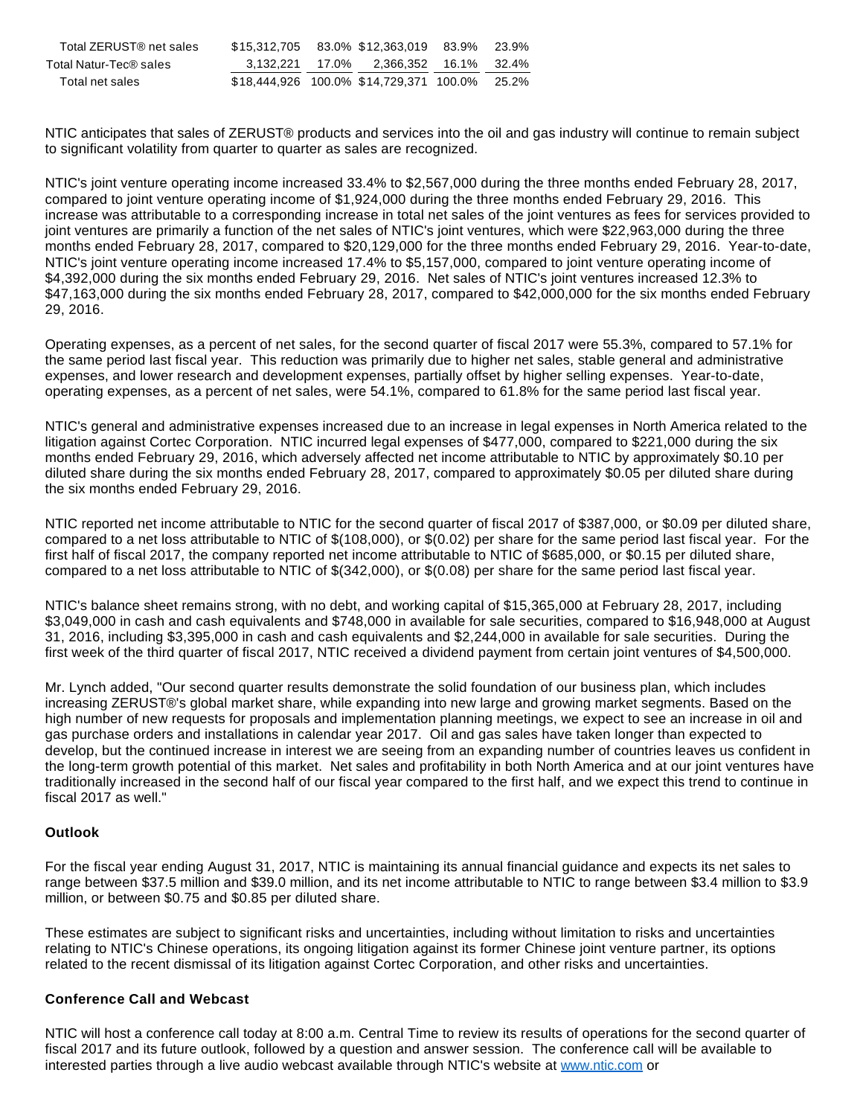| Total ZERUST® net sales |  | \$15.312.705 83.0% \$12.363.019 83.9%   | 23.9% |
|-------------------------|--|-----------------------------------------|-------|
| Total Natur-Tec® sales  |  | 3,132,221 17.0% 2,366,352 16.1% 32.4%   |       |
| Total net sales         |  | \$18,444,926 100.0% \$14,729,371 100.0% | 25.2% |

NTIC anticipates that sales of ZERUST® products and services into the oil and gas industry will continue to remain subject to significant volatility from quarter to quarter as sales are recognized.

NTIC's joint venture operating income increased 33.4% to \$2,567,000 during the three months ended February 28, 2017, compared to joint venture operating income of \$1,924,000 during the three months ended February 29, 2016. This increase was attributable to a corresponding increase in total net sales of the joint ventures as fees for services provided to joint ventures are primarily a function of the net sales of NTIC's joint ventures, which were \$22,963,000 during the three months ended February 28, 2017, compared to \$20,129,000 for the three months ended February 29, 2016. Year-to-date, NTIC's joint venture operating income increased 17.4% to \$5,157,000, compared to joint venture operating income of \$4,392,000 during the six months ended February 29, 2016. Net sales of NTIC's joint ventures increased 12.3% to \$47,163,000 during the six months ended February 28, 2017, compared to \$42,000,000 for the six months ended February 29, 2016.

Operating expenses, as a percent of net sales, for the second quarter of fiscal 2017 were 55.3%, compared to 57.1% for the same period last fiscal year. This reduction was primarily due to higher net sales, stable general and administrative expenses, and lower research and development expenses, partially offset by higher selling expenses. Year-to-date, operating expenses, as a percent of net sales, were 54.1%, compared to 61.8% for the same period last fiscal year.

NTIC's general and administrative expenses increased due to an increase in legal expenses in North America related to the litigation against Cortec Corporation. NTIC incurred legal expenses of \$477,000, compared to \$221,000 during the six months ended February 29, 2016, which adversely affected net income attributable to NTIC by approximately \$0.10 per diluted share during the six months ended February 28, 2017, compared to approximately \$0.05 per diluted share during the six months ended February 29, 2016.

NTIC reported net income attributable to NTIC for the second quarter of fiscal 2017 of \$387,000, or \$0.09 per diluted share, compared to a net loss attributable to NTIC of \$(108,000), or \$(0.02) per share for the same period last fiscal year. For the first half of fiscal 2017, the company reported net income attributable to NTIC of \$685,000, or \$0.15 per diluted share, compared to a net loss attributable to NTIC of \$(342,000), or \$(0.08) per share for the same period last fiscal year.

NTIC's balance sheet remains strong, with no debt, and working capital of \$15,365,000 at February 28, 2017, including \$3,049,000 in cash and cash equivalents and \$748,000 in available for sale securities, compared to \$16,948,000 at August 31, 2016, including \$3,395,000 in cash and cash equivalents and \$2,244,000 in available for sale securities. During the first week of the third quarter of fiscal 2017, NTIC received a dividend payment from certain joint ventures of \$4,500,000.

Mr. Lynch added, "Our second quarter results demonstrate the solid foundation of our business plan, which includes increasing ZERUST®'s global market share, while expanding into new large and growing market segments. Based on the high number of new requests for proposals and implementation planning meetings, we expect to see an increase in oil and gas purchase orders and installations in calendar year 2017. Oil and gas sales have taken longer than expected to develop, but the continued increase in interest we are seeing from an expanding number of countries leaves us confident in the long-term growth potential of this market. Net sales and profitability in both North America and at our joint ventures have traditionally increased in the second half of our fiscal year compared to the first half, and we expect this trend to continue in fiscal 2017 as well."

### **Outlook**

For the fiscal year ending August 31, 2017, NTIC is maintaining its annual financial guidance and expects its net sales to range between \$37.5 million and \$39.0 million, and its net income attributable to NTIC to range between \$3.4 million to \$3.9 million, or between \$0.75 and \$0.85 per diluted share.

These estimates are subject to significant risks and uncertainties, including without limitation to risks and uncertainties relating to NTIC's Chinese operations, its ongoing litigation against its former Chinese joint venture partner, its options related to the recent dismissal of its litigation against Cortec Corporation, and other risks and uncertainties.

## **Conference Call and Webcast**

NTIC will host a conference call today at 8:00 a.m. Central Time to review its results of operations for the second quarter of fiscal 2017 and its future outlook, followed by a question and answer session. The conference call will be available to [interested parties through a](https://www.globenewswire.com/Tracker?data=mWyWdHe6q57SwArb-J0ZX5n81xWqnCNvc3MUUScELu-gd7-hMHZlPMJZO6TIWLJr13dEHJ-P2HEne9rSO7FnsdEHOGhFbI-6XslFlYQJj7r8Uwbc7NZ1UhHsZKZ7t4Yh) live audio webcast available through NTIC's website at [www.ntic.com](https://www.globenewswire.com/Tracker?data=lUALeD7W4Nzli6g51q7VUlrBE474uMLdYnrQ8VPi1JUnR03mlGOVAd_8jSA5OmwJKaEBhu5hZEpQWH5pUf1YSA==) or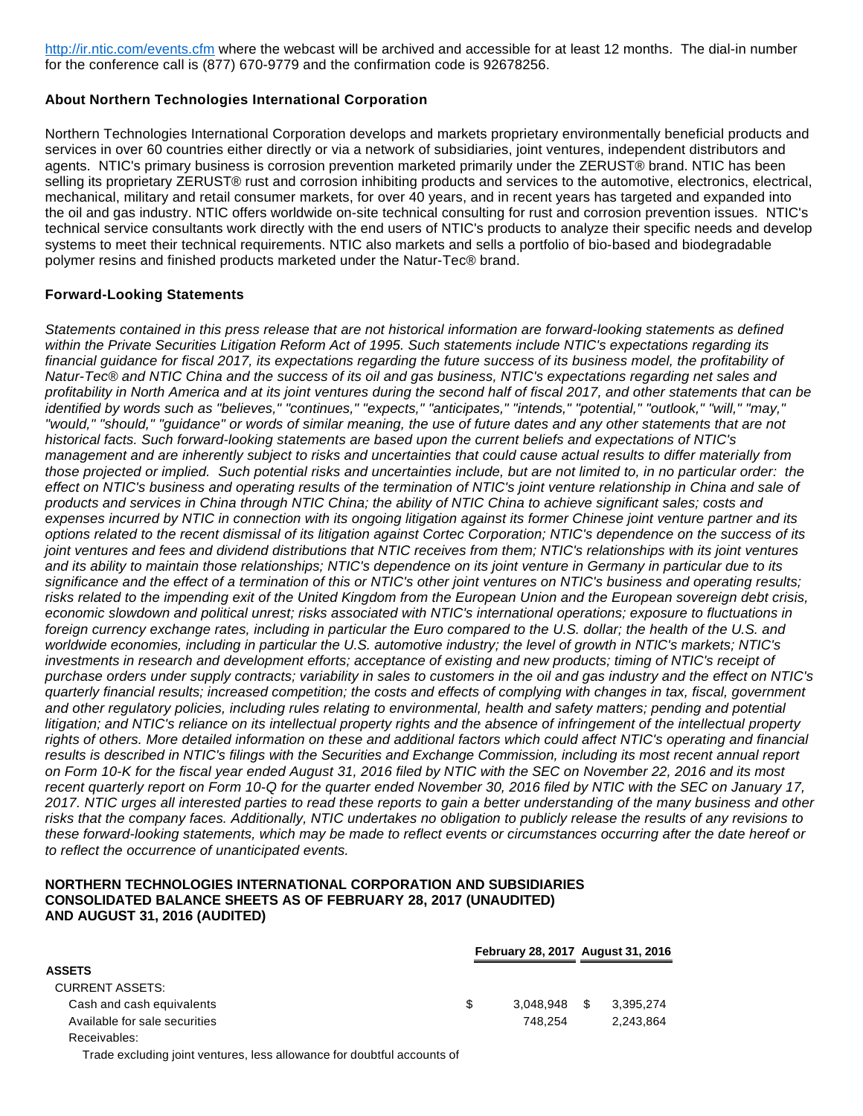[http://ir.ntic.com/events.cfm](https://www.globenewswire.com/Tracker?data=mWyWdHe6q57SwArb-J0ZX5n81xWqnCNvc3MUUScELu-gd7-hMHZlPMJZO6TIWLJr13dEHJ-P2HEne9rSO7FnsdEHOGhFbI-6XslFlYQJj7r8Uwbc7NZ1UhHsZKZ7t4Yh) where the webcast will be archived and accessible for at least 12 months. The dial-in number for the conference call is (877) 670-9779 and the confirmation code is 92678256.

## **About Northern Technologies International Corporation**

Northern Technologies International Corporation develops and markets proprietary environmentally beneficial products and services in over 60 countries either directly or via a network of subsidiaries, joint ventures, independent distributors and agents. NTIC's primary business is corrosion prevention marketed primarily under the ZERUST® brand. NTIC has been selling its proprietary ZERUST® rust and corrosion inhibiting products and services to the automotive, electronics, electrical, mechanical, military and retail consumer markets, for over 40 years, and in recent years has targeted and expanded into the oil and gas industry. NTIC offers worldwide on-site technical consulting for rust and corrosion prevention issues. NTIC's technical service consultants work directly with the end users of NTIC's products to analyze their specific needs and develop systems to meet their technical requirements. NTIC also markets and sells a portfolio of bio-based and biodegradable polymer resins and finished products marketed under the Natur-Tec® brand.

## **Forward-Looking Statements**

Statements contained in this press release that are not historical information are forward-looking statements as defined within the Private Securities Litigation Reform Act of 1995. Such statements include NTIC's expectations regarding its financial guidance for fiscal 2017, its expectations regarding the future success of its business model, the profitability of Natur-Tec® and NTIC China and the success of its oil and gas business, NTIC's expectations regarding net sales and profitability in North America and at its joint ventures during the second half of fiscal 2017, and other statements that can be identified by words such as "believes," "continues," "expects," "anticipates," "intends," "potential," "outlook," "will," "may," "would," "should," "guidance" or words of similar meaning, the use of future dates and any other statements that are not historical facts. Such forward-looking statements are based upon the current beliefs and expectations of NTIC's management and are inherently subject to risks and uncertainties that could cause actual results to differ materially from those projected or implied. Such potential risks and uncertainties include, but are not limited to, in no particular order: the effect on NTIC's business and operating results of the termination of NTIC's joint venture relationship in China and sale of products and services in China through NTIC China; the ability of NTIC China to achieve significant sales; costs and expenses incurred by NTIC in connection with its ongoing litigation against its former Chinese joint venture partner and its options related to the recent dismissal of its litigation against Cortec Corporation; NTIC's dependence on the success of its joint ventures and fees and dividend distributions that NTIC receives from them; NTIC's relationships with its joint ventures and its ability to maintain those relationships; NTIC's dependence on its joint venture in Germany in particular due to its significance and the effect of a termination of this or NTIC's other joint ventures on NTIC's business and operating results; risks related to the impending exit of the United Kingdom from the European Union and the European sovereign debt crisis, economic slowdown and political unrest; risks associated with NTIC's international operations; exposure to fluctuations in foreign currency exchange rates, including in particular the Euro compared to the U.S. dollar; the health of the U.S. and worldwide economies, including in particular the U.S. automotive industry; the level of growth in NTIC's markets; NTIC's investments in research and development efforts; acceptance of existing and new products; timing of NTIC's receipt of purchase orders under supply contracts; variability in sales to customers in the oil and gas industry and the effect on NTIC's quarterly financial results; increased competition; the costs and effects of complying with changes in tax, fiscal, government and other regulatory policies, including rules relating to environmental, health and safety matters; pending and potential litigation; and NTIC's reliance on its intellectual property rights and the absence of infringement of the intellectual property rights of others. More detailed information on these and additional factors which could affect NTIC's operating and financial results is described in NTIC's filings with the Securities and Exchange Commission, including its most recent annual report on Form 10-K for the fiscal year ended August 31, 2016 filed by NTIC with the SEC on November 22, 2016 and its most recent quarterly report on Form 10-Q for the quarter ended November 30, 2016 filed by NTIC with the SEC on January 17, 2017. NTIC urges all interested parties to read these reports to gain a better understanding of the many business and other risks that the company faces. Additionally, NTIC undertakes no obligation to publicly release the results of any revisions to these forward-looking statements, which may be made to reflect events or circumstances occurring after the date hereof or to reflect the occurrence of unanticipated events.

#### **NORTHERN TECHNOLOGIES INTERNATIONAL CORPORATION AND SUBSIDIARIES CONSOLIDATED BALANCE SHEETS AS OF FEBRUARY 28, 2017 (UNAUDITED) AND AUGUST 31, 2016 (AUDITED)**

|                               |     | February 28, 2017 August 31, 2016 |      |           |
|-------------------------------|-----|-----------------------------------|------|-----------|
| <b>ASSETS</b>                 |     |                                   |      |           |
| <b>CURRENT ASSETS:</b>        |     |                                   |      |           |
| Cash and cash equivalents     | \$. | 3.048.948                         | - \$ | 3.395.274 |
| Available for sale securities |     | 748.254                           |      | 2.243.864 |
| Receivables:                  |     |                                   |      |           |

Trade excluding joint ventures, less allowance for doubtful accounts of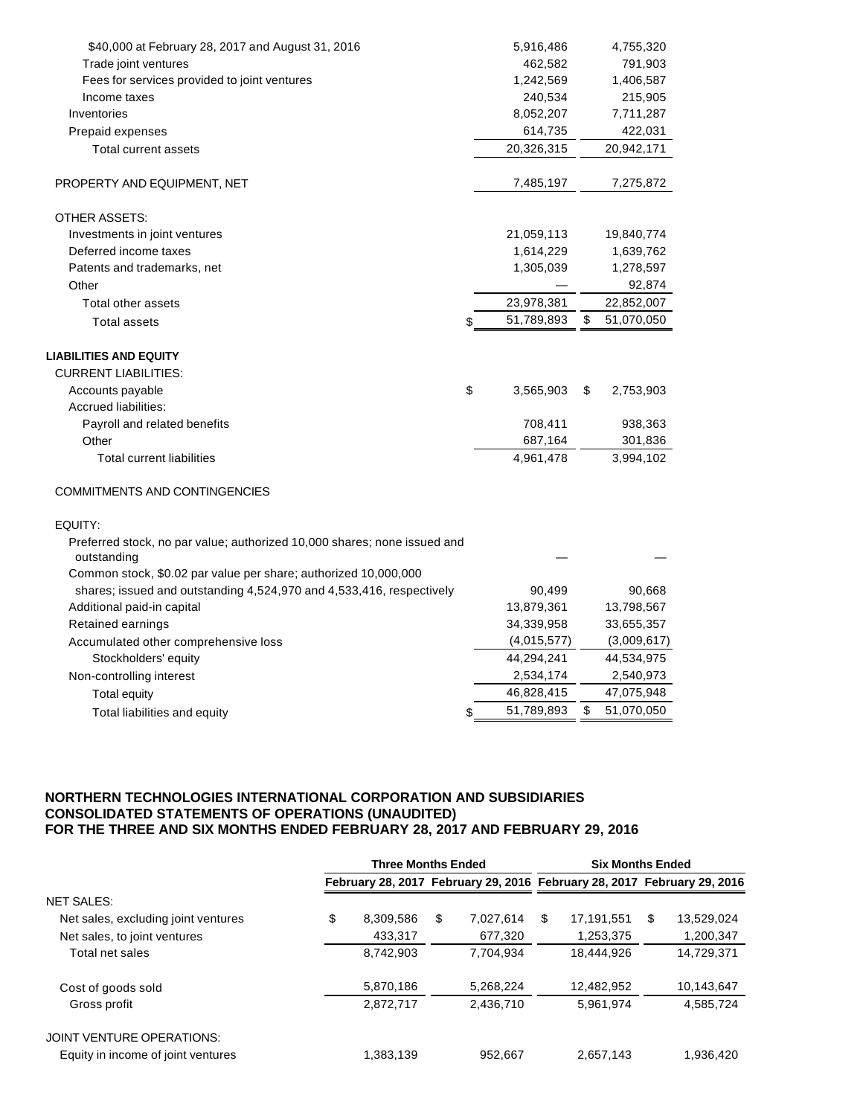| \$40,000 at February 28, 2017 and August 31, 2016                                       | 5,916,486        | 4,755,320        |
|-----------------------------------------------------------------------------------------|------------------|------------------|
| Trade joint ventures                                                                    | 462,582          | 791,903          |
| Fees for services provided to joint ventures                                            | 1,242,569        | 1,406,587        |
| Income taxes                                                                            | 240,534          | 215,905          |
| Inventories                                                                             | 8,052,207        | 7,711,287        |
| Prepaid expenses                                                                        | 614,735          | 422,031          |
| Total current assets                                                                    | 20,326,315       | 20,942,171       |
| PROPERTY AND EQUIPMENT, NET                                                             | 7,485,197        | 7,275,872        |
| <b>OTHER ASSETS:</b>                                                                    |                  |                  |
| Investments in joint ventures                                                           | 21,059,113       | 19,840,774       |
| Deferred income taxes                                                                   | 1,614,229        | 1,639,762        |
| Patents and trademarks, net                                                             | 1,305,039        | 1,278,597        |
| Other                                                                                   |                  | 92,874           |
| <b>Total other assets</b>                                                               | 23,978,381       | 22,852,007       |
| <b>Total assets</b>                                                                     | \$<br>51,789,893 | \$<br>51,070,050 |
| <b>LIABILITIES AND EQUITY</b>                                                           |                  |                  |
| <b>CURRENT LIABILITIES:</b>                                                             |                  |                  |
| Accounts payable                                                                        | \$<br>3,565,903  | \$<br>2,753,903  |
| Accrued liabilities:                                                                    |                  |                  |
| Payroll and related benefits                                                            | 708,411          | 938,363          |
| Other                                                                                   | 687,164          | 301,836          |
| <b>Total current liabilities</b>                                                        | 4,961,478        | 3,994,102        |
| <b>COMMITMENTS AND CONTINGENCIES</b>                                                    |                  |                  |
| EQUITY:                                                                                 |                  |                  |
| Preferred stock, no par value; authorized 10,000 shares; none issued and<br>outstanding |                  |                  |
| Common stock, \$0.02 par value per share; authorized 10,000,000                         |                  |                  |
| shares; issued and outstanding 4,524,970 and 4,533,416, respectively                    | 90,499           | 90,668           |
| Additional paid-in capital                                                              | 13,879,361       | 13,798,567       |
| Retained earnings                                                                       | 34,339,958       | 33,655,357       |
| Accumulated other comprehensive loss                                                    | (4,015,577)      | (3,009,617)      |
| Stockholders' equity                                                                    | 44,294,241       | 44,534,975       |
| Non-controlling interest                                                                | 2,534,174        | 2,540,973        |
| <b>Total equity</b>                                                                     | 46,828,415       | 47,075,948       |
| Total liabilities and equity                                                            | \$<br>51,789,893 | \$<br>51,070,050 |

### **NORTHERN TECHNOLOGIES INTERNATIONAL CORPORATION AND SUBSIDIARIES CONSOLIDATED STATEMENTS OF OPERATIONS (UNAUDITED) FOR THE THREE AND SIX MONTHS ENDED FEBRUARY 28, 2017 AND FEBRUARY 29, 2016**

|                                     | <b>Three Months Ended</b> |    |           |    | <b>Six Months Ended</b>                                                 |    |            |  |
|-------------------------------------|---------------------------|----|-----------|----|-------------------------------------------------------------------------|----|------------|--|
|                                     |                           |    |           |    | February 28, 2017 February 29, 2016 February 28, 2017 February 29, 2016 |    |            |  |
| <b>NET SALES:</b>                   |                           |    |           |    |                                                                         |    |            |  |
| Net sales, excluding joint ventures | \$<br>8,309,586           | \$ | 7.027.614 | \$ | 17.191.551                                                              | \$ | 13,529,024 |  |
| Net sales, to joint ventures        | 433,317                   |    | 677,320   |    | 1,253,375                                                               |    | 1,200,347  |  |
| Total net sales                     | 8,742,903                 |    | 7,704,934 |    | 18.444.926                                                              |    | 14,729,371 |  |
| Cost of goods sold                  | 5,870,186                 |    | 5,268,224 |    | 12,482,952                                                              |    | 10,143,647 |  |
| Gross profit                        | 2,872,717                 |    | 2,436,710 |    | 5,961,974                                                               |    | 4,585,724  |  |
| JOINT VENTURE OPERATIONS:           |                           |    |           |    |                                                                         |    |            |  |
| Equity in income of joint ventures  | 1,383,139                 |    | 952.667   |    | 2,657,143                                                               |    | 1.936.420  |  |